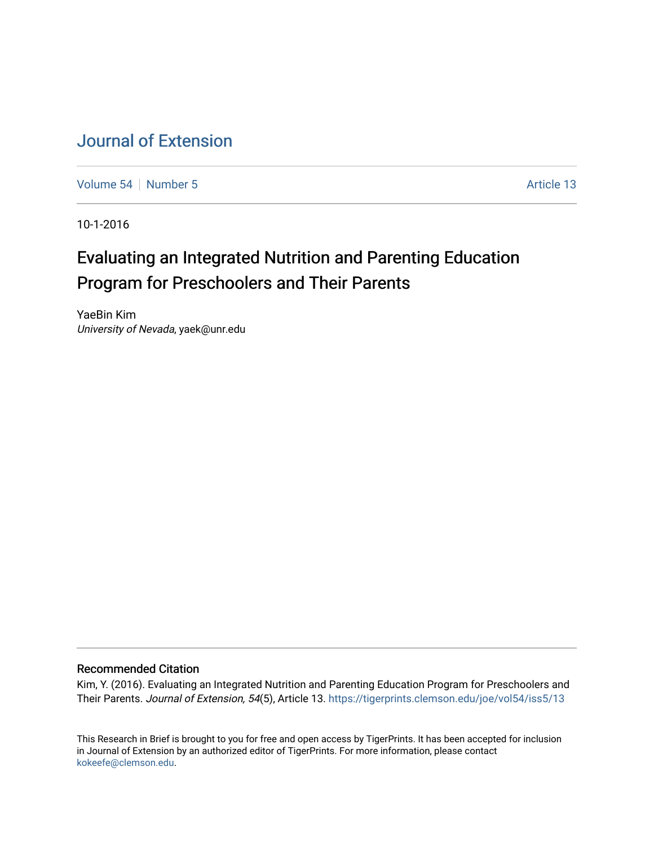# [Journal of Extension](https://tigerprints.clemson.edu/joe)

[Volume 54](https://tigerprints.clemson.edu/joe/vol54) [Number 5](https://tigerprints.clemson.edu/joe/vol54/iss5) Article 13

10-1-2016

# Evaluating an Integrated Nutrition and Parenting Education Program for Preschoolers and Their Parents

YaeBin Kim University of Nevada, yaek@unr.edu

#### Recommended Citation

Kim, Y. (2016). Evaluating an Integrated Nutrition and Parenting Education Program for Preschoolers and Their Parents. Journal of Extension, 54(5), Article 13. <https://tigerprints.clemson.edu/joe/vol54/iss5/13>

This Research in Brief is brought to you for free and open access by TigerPrints. It has been accepted for inclusion in Journal of Extension by an authorized editor of TigerPrints. For more information, please contact [kokeefe@clemson.edu](mailto:kokeefe@clemson.edu).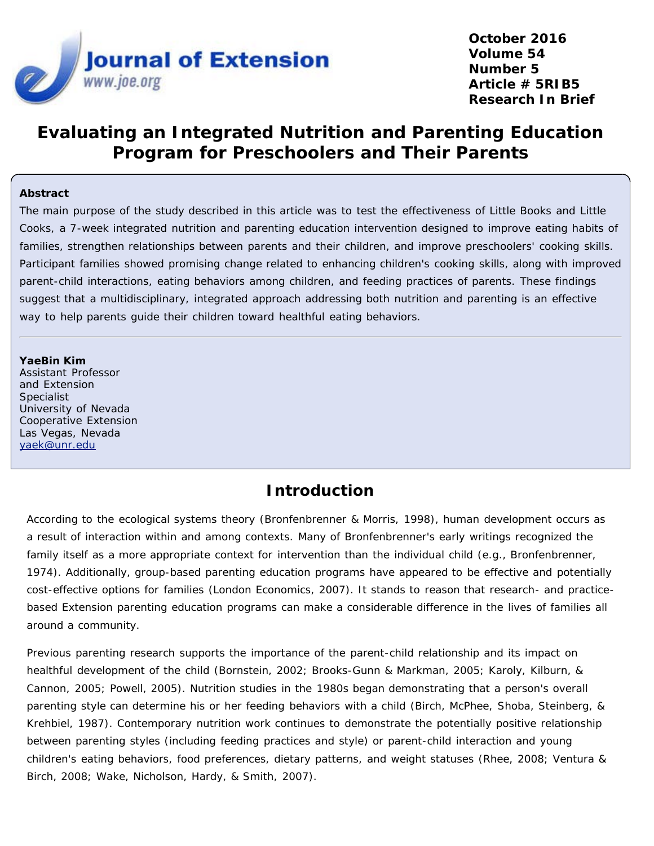

**October 2016 Volume 54 Number 5 Article # 5RIB5 Research In Brief**

# **Evaluating an Integrated Nutrition and Parenting Education Program for Preschoolers and Their Parents**

#### **Abstract**

The main purpose of the study described in this article was to test the effectiveness of Little Books and Little Cooks, a 7-week integrated nutrition and parenting education intervention designed to improve eating habits of families, strengthen relationships between parents and their children, and improve preschoolers' cooking skills. Participant families showed promising change related to enhancing children's cooking skills, along with improved parent-child interactions, eating behaviors among children, and feeding practices of parents. These findings suggest that a multidisciplinary, integrated approach addressing both nutrition and parenting is an effective way to help parents guide their children toward healthful eating behaviors.

#### **YaeBin Kim**

Assistant Professor and Extension Specialist University of Nevada Cooperative Extension Las Vegas, Nevada [yaek@unr.edu](mailto:yaek@unr.edu)

#### **Introduction**

According to the ecological systems theory (Bronfenbrenner & Morris, 1998), human development occurs as a result of interaction within and among contexts. Many of Bronfenbrenner's early writings recognized the family itself as a more appropriate context for intervention than the individual child (e.g., Bronfenbrenner, 1974). Additionally, group-based parenting education programs have appeared to be effective and potentially cost-effective options for families (London Economics, 2007). It stands to reason that research- and practicebased Extension parenting education programs can make a considerable difference in the lives of families all around a community.

Previous parenting research supports the importance of the parent-child relationship and its impact on healthful development of the child (Bornstein, 2002; Brooks-Gunn & Markman, 2005; Karoly, Kilburn, & Cannon, 2005; Powell, 2005). Nutrition studies in the 1980s began demonstrating that a person's overall parenting style can determine his or her feeding behaviors with a child (Birch, McPhee, Shoba, Steinberg, & Krehbiel, 1987). Contemporary nutrition work continues to demonstrate the potentially positive relationship between parenting styles (including feeding practices and style) or parent-child interaction and young children's eating behaviors, food preferences, dietary patterns, and weight statuses (Rhee, 2008; Ventura & Birch, 2008; Wake, Nicholson, Hardy, & Smith, 2007).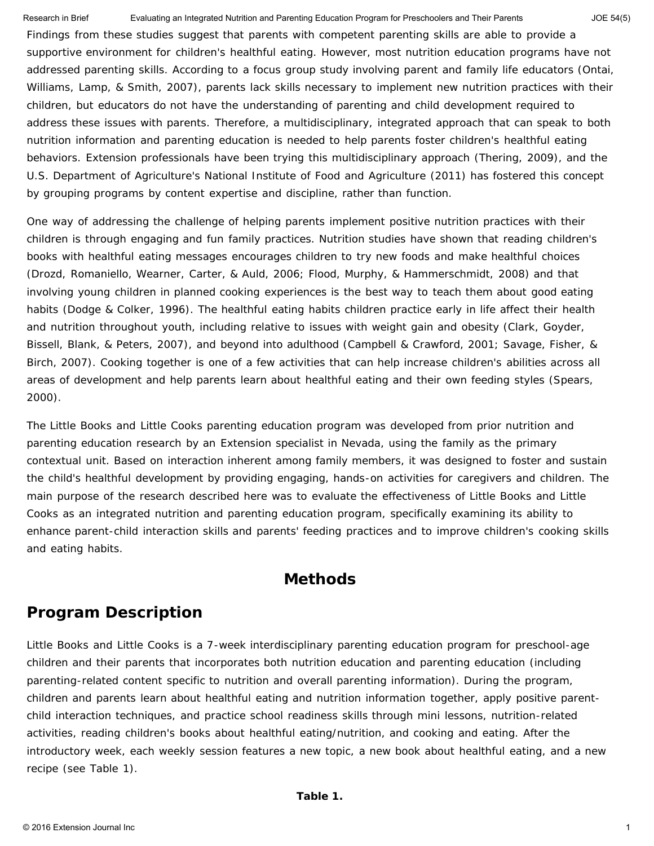Research in Brief **Evaluating an Integrated Nutrition and Parenting Education Program for Preschoolers and Their Parents** JOE 54(5)

Findings from these studies suggest that parents with competent parenting skills are able to provide a supportive environment for children's healthful eating. However, most nutrition education programs have not addressed parenting skills. According to a focus group study involving parent and family life educators (Ontai, Williams, Lamp, & Smith, 2007), parents lack skills necessary to implement new nutrition practices with their children, but educators do not have the understanding of parenting and child development required to address these issues with parents. Therefore, a multidisciplinary, integrated approach that can speak to both nutrition information and parenting education is needed to help parents foster children's healthful eating behaviors. Extension professionals have been trying this multidisciplinary approach (Thering, 2009), and the U.S. Department of Agriculture's National Institute of Food and Agriculture (2011) has fostered this concept by grouping programs by content expertise and discipline, rather than function.

One way of addressing the challenge of helping parents implement positive nutrition practices with their children is through engaging and fun family practices. Nutrition studies have shown that reading children's books with healthful eating messages encourages children to try new foods and make healthful choices (Drozd, Romaniello, Wearner, Carter, & Auld, 2006; Flood, Murphy, & Hammerschmidt, 2008) and that involving young children in planned cooking experiences is the best way to teach them about good eating habits (Dodge & Colker, 1996). The healthful eating habits children practice early in life affect their health and nutrition throughout youth, including relative to issues with weight gain and obesity (Clark, Goyder, Bissell, Blank, & Peters, 2007), and beyond into adulthood (Campbell & Crawford, 2001; Savage, Fisher, & Birch, 2007). Cooking together is one of a few activities that can help increase children's abilities across all areas of development and help parents learn about healthful eating and their own feeding styles (Spears, 2000).

The Little Books and Little Cooks parenting education program was developed from prior nutrition and parenting education research by an Extension specialist in Nevada, using the family as the primary contextual unit. Based on interaction inherent among family members, it was designed to foster and sustain the child's healthful development by providing engaging, hands-on activities for caregivers and children. The main purpose of the research described here was to evaluate the effectiveness of Little Books and Little Cooks as an integrated nutrition and parenting education program, specifically examining its ability to enhance parent-child interaction skills and parents' feeding practices and to improve children's cooking skills and eating habits.

#### **Methods**

# **Program Description**

Little Books and Little Cooks is a 7-week interdisciplinary parenting education program for preschool-age children and their parents that incorporates both nutrition education and parenting education (including parenting-related content specific to nutrition and overall parenting information). During the program, children and parents learn about healthful eating and nutrition information together, apply positive parentchild interaction techniques, and practice school readiness skills through mini lessons, nutrition-related activities, reading children's books about healthful eating/nutrition, and cooking and eating. After the introductory week, each weekly session features a new topic, a new book about healthful eating, and a new recipe (see Table 1).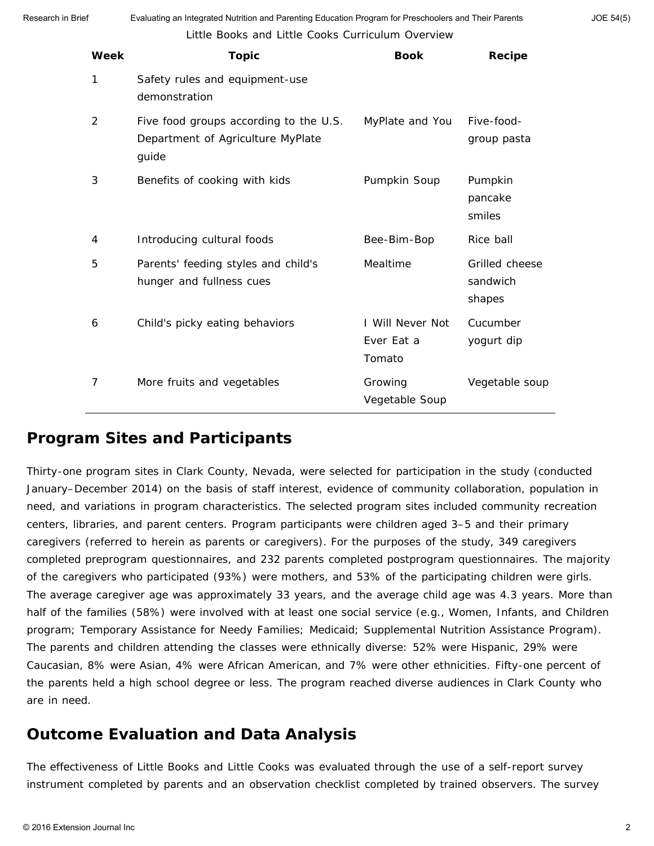Little Books and Little Cooks Curriculum Overview Research in Brief Evaluating an Integrated Nutrition and Parenting Education Program for Preschoolers and Their Parents

| Week | <b>Topic</b>                                                                         | <b>Book</b>                              | Recipe                               |
|------|--------------------------------------------------------------------------------------|------------------------------------------|--------------------------------------|
| 1    | Safety rules and equipment-use<br>demonstration                                      |                                          |                                      |
| 2    | Five food groups according to the U.S.<br>Department of Agriculture MyPlate<br>guide | MyPlate and You                          | Five-food-<br>group pasta            |
| 3    | Benefits of cooking with kids                                                        | Pumpkin Soup                             | Pumpkin<br>pancake<br>smiles         |
| 4    | Introducing cultural foods                                                           | Bee-Bim-Bop                              | Rice ball                            |
| 5    | Parents' feeding styles and child's<br>hunger and fullness cues                      | Mealtime                                 | Grilled cheese<br>sandwich<br>shapes |
| 6    | Child's picky eating behaviors                                                       | I Will Never Not<br>Ever Eat a<br>Tomato | Cucumber<br>yogurt dip               |
| 7    | More fruits and vegetables                                                           | Growing<br>Vegetable Soup                | Vegetable soup                       |

#### **Program Sites and Participants**

Thirty-one program sites in Clark County, Nevada, were selected for participation in the study (conducted January–December 2014) on the basis of staff interest, evidence of community collaboration, population in need, and variations in program characteristics. The selected program sites included community recreation centers, libraries, and parent centers. Program participants were children aged 3–5 and their primary caregivers (referred to herein as parents or caregivers). For the purposes of the study, 349 caregivers completed preprogram questionnaires, and 232 parents completed postprogram questionnaires. The majority of the caregivers who participated (93%) were mothers, and 53% of the participating children were girls. The average caregiver age was approximately 33 years, and the average child age was 4.3 years. More than half of the families (58%) were involved with at least one social service (e.g., Women, Infants, and Children program; Temporary Assistance for Needy Families; Medicaid; Supplemental Nutrition Assistance Program). The parents and children attending the classes were ethnically diverse: 52% were Hispanic, 29% were Caucasian, 8% were Asian, 4% were African American, and 7% were other ethnicities. Fifty-one percent of the parents held a high school degree or less. The program reached diverse audiences in Clark County who are in need.

### **Outcome Evaluation and Data Analysis**

The effectiveness of Little Books and Little Cooks was evaluated through the use of a self-report survey instrument completed by parents and an observation checklist completed by trained observers. The survey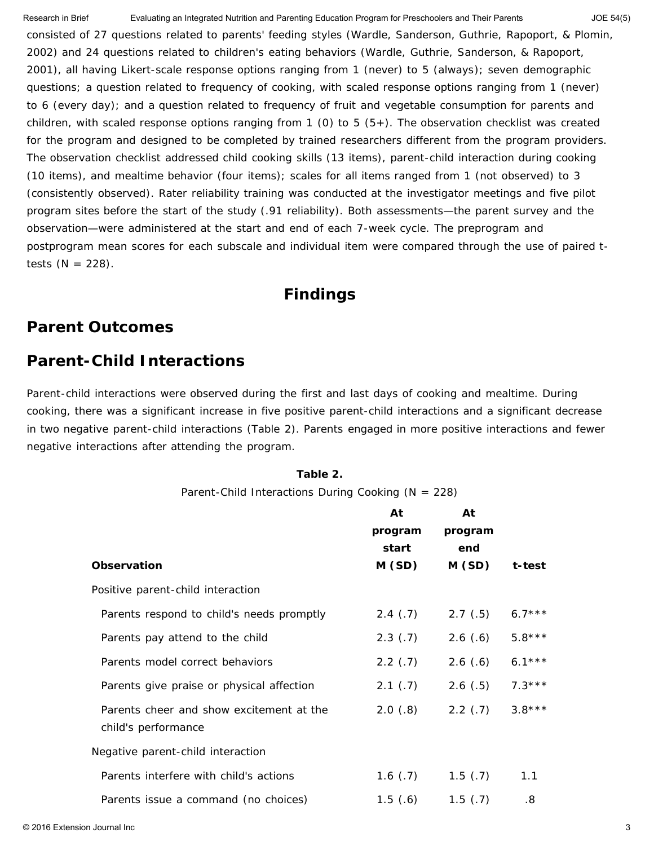consisted of 27 questions related to parents' feeding styles (Wardle, Sanderson, Guthrie, Rapoport, & Plomin, 2002) and 24 questions related to children's eating behaviors (Wardle, Guthrie, Sanderson, & Rapoport, 2001), all having Likert-scale response options ranging from 1 (*never*) to 5 (*always*); seven demographic questions; a question related to frequency of cooking, with scaled response options ranging from 1 (*never*) to 6 (*every day*); and a question related to frequency of fruit and vegetable consumption for parents and children, with scaled response options ranging from 1 (*0*) to 5 (*5+*). The observation checklist was created for the program and designed to be completed by trained researchers different from the program providers. The observation checklist addressed child cooking skills (13 items), parent-child interaction during cooking (10 items), and mealtime behavior (four items); scales for all items ranged from 1 (*not observed*) to 3 (*consistently observed*). Rater reliability training was conducted at the investigator meetings and five pilot program sites before the start of the study (.91 reliability). Both assessments—the parent survey and the observation—were administered at the start and end of each 7-week cycle. The preprogram and postprogram mean scores for each subscale and individual item were compared through the use of paired *t*tests  $(N = 228)$ . Research in Brief **Evaluating an Integrated Nutrition and Parenting Education Program for Preschoolers and Their Parents** JOE 54(5)

#### **Findings**

### **Parent Outcomes**

### *Parent-Child Interactions*

Parent-child interactions were observed during the first and last days of cooking and mealtime. During cooking, there was a significant increase in five positive parent-child interactions and a significant decrease in two negative parent-child interactions (Table 2). Parents engaged in more positive interactions and fewer negative interactions after attending the program.

#### **Table 2.**

Parent-Child Interactions During Cooking (*N* = 228)

|                                                                 | At<br>program<br>start | At<br>program<br>end |          |
|-----------------------------------------------------------------|------------------------|----------------------|----------|
| Observation                                                     | M(SD)                  | M(SD)                | t-test   |
| Positive parent-child interaction                               |                        |                      |          |
| Parents respond to child's needs promptly                       | 2.4(.7)                | 2.7(.5)              | $6.7***$ |
| Parents pay attend to the child                                 | $2.3$ (.7)             | 2.6(.6)              | $5.8***$ |
| Parents model correct behaviors                                 | 2.2(.7)                | 2.6(.6)              | $6.1***$ |
| Parents give praise or physical affection                       | 2.1(.7)                | 2.6(.5)              | $7.3***$ |
| Parents cheer and show excitement at the<br>child's performance | 2.0(.8)                | 2.2(.7)              | $3.8***$ |
| Negative parent-child interaction                               |                        |                      |          |
| Parents interfere with child's actions                          | 1.6(0.7)               | 1.5(7)               | 1.1      |
| Parents issue a command (no choices)                            | 1.5(6)                 | 1.5(7)               | .8       |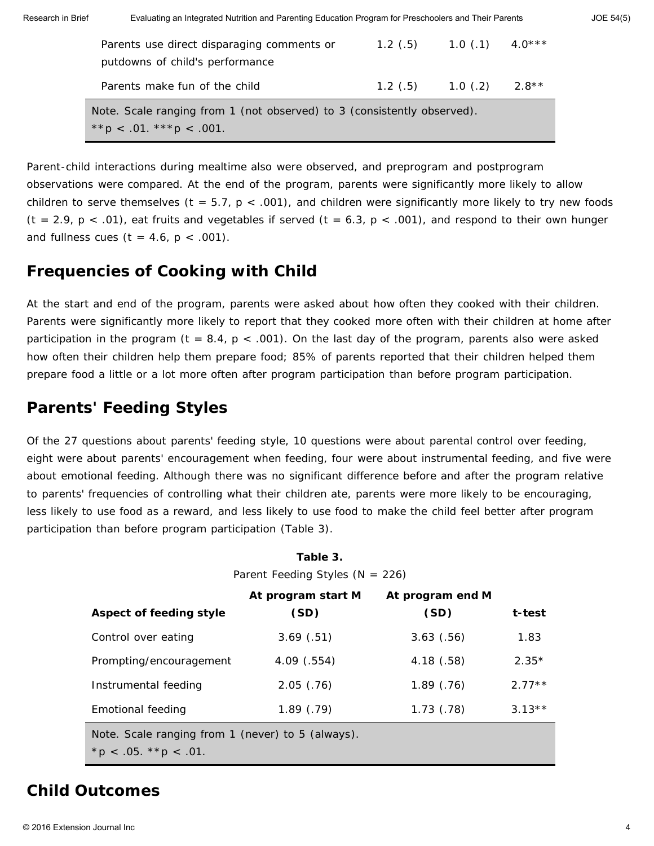| Research in Brief | Evaluating an Integrated Nutrition and Parenting Education Program for Preschoolers and Their Parents    |         |            |          | $JOE$ 54(5) |
|-------------------|----------------------------------------------------------------------------------------------------------|---------|------------|----------|-------------|
|                   | Parents use direct disparaging comments or<br>putdowns of child's performance                            | 1.2(5)  | $1.0$ (.1) | $4.0***$ |             |
|                   | Parents make fun of the child                                                                            | 1.2(.5) | $1.0$ (.2) | $2.8**$  |             |
|                   | Note. Scale ranging from 1 (not observed) to 3 (consistently observed).<br>** $p < .01.$ *** $p < .001.$ |         |            |          |             |

Parent-child interactions during mealtime also were observed, and preprogram and postprogram observations were compared. At the end of the program, parents were significantly more likely to allow children to serve themselves (*t* = 5.7, *p* < .001), and children were significantly more likely to try new foods (*t* = 2.9, *p* < .01), eat fruits and vegetables if served (*t* = 6.3, *p* < .001), and respond to their own hunger and fullness cues (*t* = 4.6, *p* < .001).

### *Frequencies of Cooking with Child*

At the start and end of the program, parents were asked about how often they cooked with their children. Parents were significantly more likely to report that they cooked more often with their children at home after participation in the program (*t* = 8.4, *p* < .001). On the last day of the program, parents also were asked how often their children help them prepare food; 85% of parents reported that their children helped them prepare food a little or a lot more often after program participation than before program participation.

# *Parents' Feeding Styles*

Of the 27 questions about parents' feeding style, 10 questions were about parental control over feeding, eight were about parents' encouragement when feeding, four were about instrumental feeding, and five were about emotional feeding. Although there was no significant difference before and after the program relative to parents' frequencies of controlling what their children ate, parents were more likely to be encouraging, less likely to use food as a reward, and less likely to use food to make the child feel better after program participation than before program participation (Table 3).

| Table 3.<br>Parent Feeding Styles ( $N = 226$ )                                  |                            |                          |          |
|----------------------------------------------------------------------------------|----------------------------|--------------------------|----------|
| Aspect of feeding style                                                          | At program start M<br>(SD) | At program end M<br>(SD) | t-test   |
| Control over eating                                                              | 3.69(.51)                  | 3.63(.56)                | 1.83     |
| Prompting/encouragement                                                          | $4.09$ $(.554)$            | 4.18(.58)                | $2.35*$  |
| Instrumental feeding                                                             | 2.05(.76)                  | 1.89(0.76)               | $2.77**$ |
| Emotional feeding                                                                | 1.89(0.79)                 | $1.73$ $(.78)$           | $3.13**$ |
| Note. Scale ranging from 1 (never) to 5 (always).<br>* $p < .05.$ * * $p < .01.$ |                            |                          |          |

# **Child Outcomes**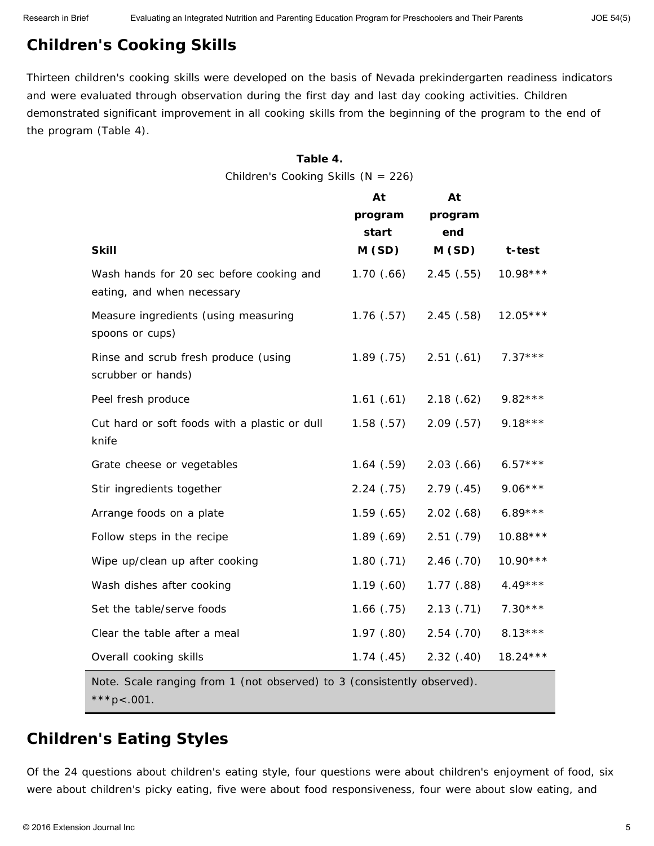# *Children's Cooking Skills*

Thirteen children's cooking skills were developed on the basis of Nevada prekindergarten readiness indicators and were evaluated through observation during the first day and last day cooking activities. Children demonstrated significant improvement in all cooking skills from the beginning of the program to the end of the program (Table 4).

#### **Table 4.**

Children's Cooking Skills (*N* = 226)

|                                                                         | At               | At             |            |
|-------------------------------------------------------------------------|------------------|----------------|------------|
|                                                                         | program<br>start | program<br>end |            |
| <b>Skill</b>                                                            | M(SD)            | M(SD)          | t-test     |
| Wash hands for 20 sec before cooking and<br>eating, and when necessary  | 1.70(66)         | 2.45(.55)      | $10.98***$ |
| Measure ingredients (using measuring<br>spoons or cups)                 | 1.76(0.57)       | 2.45(.58)      | $12.05***$ |
| Rinse and scrub fresh produce (using<br>scrubber or hands)              | 1.89(0.75)       | 2.51(.61)      | $7.37***$  |
| Peel fresh produce                                                      | 1.61(.61)        | 2.18(.62)      | $9.82***$  |
| Cut hard or soft foods with a plastic or dull<br>knife                  | 1.58(.57)        | 2.09(.57)      | $9.18***$  |
| Grate cheese or vegetables                                              | 1.64(.59)        | 2.03(.66)      | $6.57***$  |
| Stir ingredients together                                               | 2.24(.75)        | 2.79(.45)      | $9.06***$  |
| Arrange foods on a plate                                                | 1.59(.65)        | 2.02(.68)      | $6.89***$  |
| Follow steps in the recipe                                              | 1.89(.69)        | 2.51(.79)      | $10.88***$ |
| Wipe up/clean up after cooking                                          | 1.80(.71)        | 2.46(.70)      | $10.90***$ |
| Wash dishes after cooking                                               | 1.19(.60)        | $1.77$ $(.88)$ | $4.49***$  |
| Set the table/serve foods                                               | $1.66$ $(.75)$   | 2.13(.71)      | $7.30***$  |
| Clear the table after a meal                                            | 1.97(0.80)       | $2.54$ $(.70)$ | $8.13***$  |
| Overall cooking skills                                                  | 1.74(0.45)       | 2.32(.40)      | $18.24***$ |
| Note. Scale ranging from 1 (not observed) to 3 (consistently observed). |                  |                |            |

\*\*\**p*<.001.

### *Children's Eating Styles*

Of the 24 questions about children's eating style, four questions were about children's enjoyment of food, six were about children's picky eating, five were about food responsiveness, four were about slow eating, and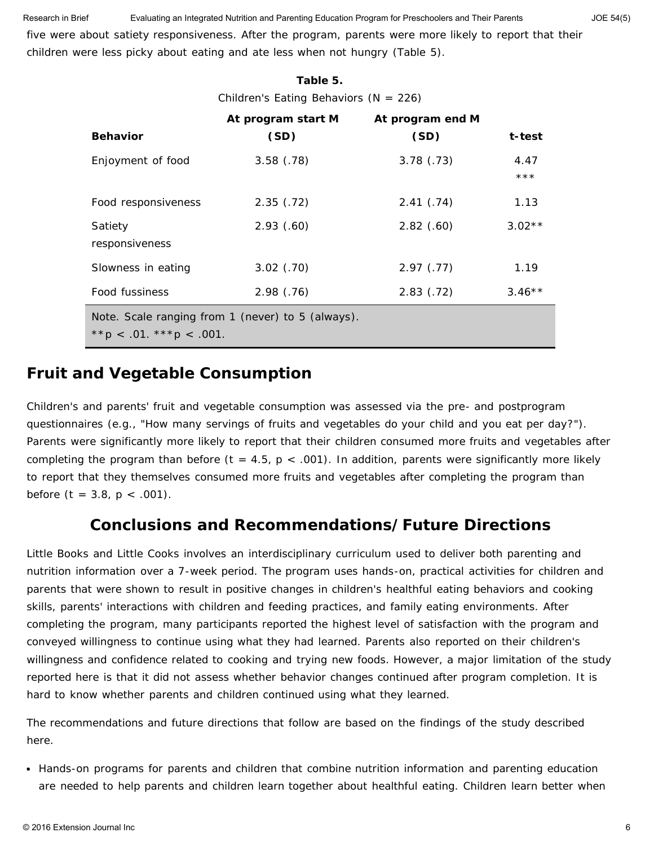five were about satiety responsiveness. After the program, parents were more likely to report that their children were less picky about eating and ate less when not hungry (Table 5). Research in Brief **Evaluating an Integrated Nutrition and Parenting Education Program for Preschoolers and Their Parents** JOE 54(5)

| Table 5.                                  |                                                   |                  |               |  |
|-------------------------------------------|---------------------------------------------------|------------------|---------------|--|
| Children's Eating Behaviors ( $N = 226$ ) |                                                   |                  |               |  |
|                                           | At program start M                                | At program end M |               |  |
| <b>Behavior</b>                           | (SD)                                              | (SD)             | t-test        |  |
| Enjoyment of food                         | 3.58(.78)                                         | 3.78(.73)        | 4.47<br>$***$ |  |
| Food responsiveness                       | 2.35(.72)                                         | 2.41(.74)        | 1.13          |  |
| Satiety<br>responsiveness                 | 2.93(0.60)                                        | $2.82$ (.60)     | $3.02**$      |  |
| Slowness in eating                        | $3.02$ $(.70)$                                    | 2.97(0.77)       | 1.19          |  |
| Food fussiness                            | 2.98(.76)                                         | 2.83(.72)        | $3.46**$      |  |
| ** $p < .01.$ *** $p < .001.$             | Note. Scale ranging from 1 (never) to 5 (always). |                  |               |  |

### *Fruit and Vegetable Consumption*

Children's and parents' fruit and vegetable consumption was assessed via the pre- and postprogram questionnaires (e.g., "How many servings of fruits and vegetables do your child and you eat per day?"). Parents were significantly more likely to report that their children consumed more fruits and vegetables after completing the program than before  $(t = 4.5, p < .001)$ . In addition, parents were significantly more likely to report that they themselves consumed more fruits and vegetables after completing the program than before  $(t = 3.8, p < .001)$ .

### **Conclusions and Recommendations/Future Directions**

Little Books and Little Cooks involves an interdisciplinary curriculum used to deliver both parenting and nutrition information over a 7-week period. The program uses hands-on, practical activities for children and parents that were shown to result in positive changes in children's healthful eating behaviors and cooking skills, parents' interactions with children and feeding practices, and family eating environments. After completing the program, many participants reported the highest level of satisfaction with the program and conveyed willingness to continue using what they had learned. Parents also reported on their children's willingness and confidence related to cooking and trying new foods. However, a major limitation of the study reported here is that it did not assess whether behavior changes continued after program completion. It is hard to know whether parents and children continued using what they learned.

The recommendations and future directions that follow are based on the findings of the study described here.

• Hands-on programs for parents and children that combine nutrition information and parenting education are needed to help parents and children learn together about healthful eating. Children learn better when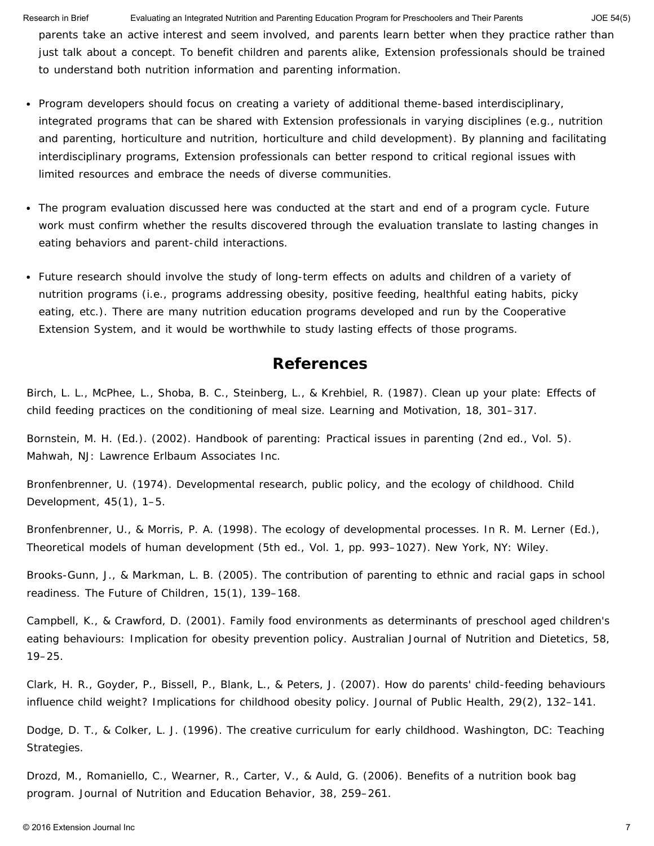Research in Brief **Evaluating an Integrated Nutrition and Parenting Education Program for Preschoolers and Their Parents** JOE 54(5)

parents take an active interest and seem involved, and parents learn better when they practice rather than just talk about a concept. To benefit children and parents alike, Extension professionals should be trained to understand both nutrition information and parenting information.

- Program developers should focus on creating a variety of additional theme-based interdisciplinary, integrated programs that can be shared with Extension professionals in varying disciplines (e.g., nutrition and parenting, horticulture and nutrition, horticulture and child development). By planning and facilitating interdisciplinary programs, Extension professionals can better respond to critical regional issues with limited resources and embrace the needs of diverse communities.
- The program evaluation discussed here was conducted at the start and end of a program cycle. Future work must confirm whether the results discovered through the evaluation translate to lasting changes in eating behaviors and parent-child interactions.
- Future research should involve the study of long-term effects on adults and children of a variety of nutrition programs (i.e., programs addressing obesity, positive feeding, healthful eating habits, picky eating, etc.). There are many nutrition education programs developed and run by the Cooperative Extension System, and it would be worthwhile to study lasting effects of those programs.

#### **References**

Birch, L. L., McPhee, L., Shoba, B. C., Steinberg, L., & Krehbiel, R. (1987). Clean up your plate: Effects of child feeding practices on the conditioning of meal size. *Learning and Motivation*, *18,* 301–317.

Bornstein, M. H. (Ed.). (2002). *Handbook of parenting: Practical issues in parenting* (2nd ed., Vol. 5). Mahwah, NJ: Lawrence Erlbaum Associates Inc.

Bronfenbrenner, U. (1974). Developmental research, public policy, and the ecology of childhood. *Child Development*, *45*(1), 1–5.

Bronfenbrenner, U., & Morris, P. A. (1998). The ecology of developmental processes. In R. M. Lerner (Ed.), *Theoretical models of human development* (5th ed., Vol. 1, pp. 993–1027). New York, NY: Wiley.

Brooks-Gunn, J., & Markman, L. B. (2005). The contribution of parenting to ethnic and racial gaps in school readiness. *The Future of Children*, *15*(1), 139–168.

Campbell, K., & Crawford, D. (2001). Family food environments as determinants of preschool aged children's eating behaviours: Implication for obesity prevention policy. *Australian Journal of Nutrition and Dietetics*, *58,* 19–25.

Clark, H. R., Goyder, P., Bissell, P., Blank, L., & Peters, J. (2007). How do parents' child-feeding behaviours influence child weight? Implications for childhood obesity policy. *Journal of Public Health*, *29*(2), 132–141.

Dodge, D. T., & Colker, L. J. (1996). *The creative curriculum for early childhood*. Washington, DC: Teaching Strategies.

Drozd, M., Romaniello, C., Wearner, R., Carter, V., & Auld, G. (2006). Benefits of a nutrition book bag program. *Journal of Nutrition and Education Behavior*, *38*, 259–261.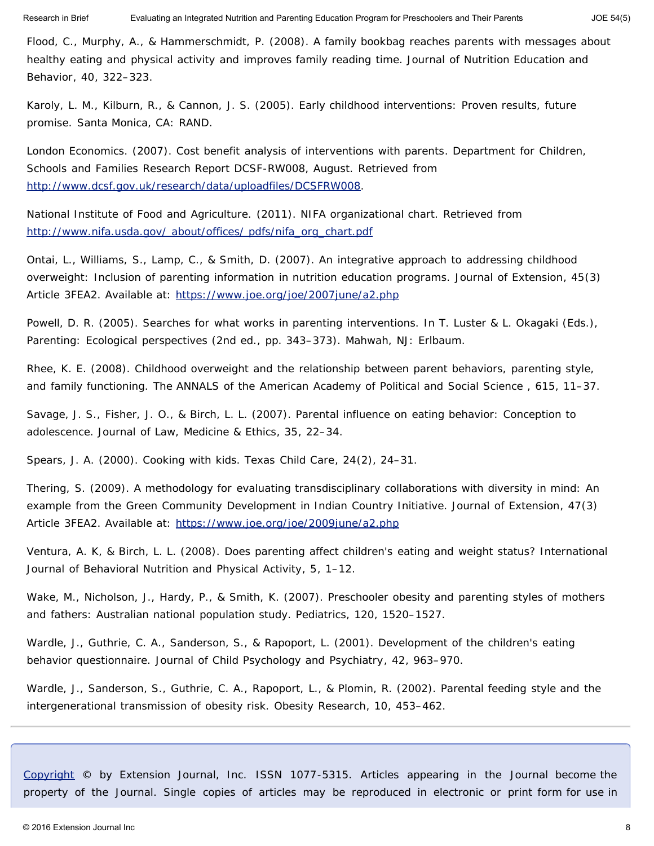Flood, C., Murphy, A., & Hammerschmidt, P. (2008). A family bookbag reaches parents with messages about healthy eating and physical activity and improves family reading time. *Journal of Nutrition Education and Behavior*, *40*, 322–323.

Karoly, L. M., Kilburn, R., & Cannon, J. S. (2005). *Early childhood interventions: Proven results, future promise.* Santa Monica, CA: RAND.

London Economics. (2007). *Cost benefit analysis of interventions with parents*. Department for Children, Schools and Families Research Report DCSF-RW008, August. Retrieved from [http://www.dcsf.gov.uk/research/data/uploadfiles/DCSFRW008.](http://www.dcsf.gov.uk/research/data/uploadfiles/DCSFRW008)

National Institute of Food and Agriculture. (2011). NIFA organizational chart. Retrieved from [http://www.nifa.usda.gov/ about/offices/ pdfs/nifa\\_org\\_chart.pdf](http://www.nifa.usda.gov/about/offices/pdfs/nifa_org_chart.pdf)

Ontai, L., Williams, S., Lamp, C., & Smith, D. (2007). An integrative approach to addressing childhood overweight: Inclusion of parenting information in nutrition education programs. *Journal of Extension*, *45*(3) Article 3FEA2. Available at: <https://www.joe.org/joe/2007june/a2.php>

Powell, D. R. (2005). Searches for what works in parenting interventions. In T. Luster & L. Okagaki (Eds.), *Parenting: Ecological perspectives* (2nd ed., pp. 343–373). Mahwah, NJ: Erlbaum.

Rhee, K. E. (2008). Childhood overweight and the relationship between parent behaviors, parenting style, and family functioning. *The ANNALS of the American Academy of Political and Social Science , 615*, 11–37.

Savage, J. S., Fisher, J. O., & Birch, L. L. (2007). Parental influence on eating behavior: Conception to adolescence. *Journal of Law, Medicine & Ethics*, *35*, 22–34.

Spears, J. A. (2000). Cooking with kids. *Texas Child Care*, *24*(2), 24–31.

Thering, S. (2009). A methodology for evaluating transdisciplinary collaborations with diversity in mind: An example from the Green Community Development in Indian Country Initiative. *Journal of Extension*, *47*(3) Article 3FEA2. Available at: <https://www.joe.org/joe/2009june/a2.php>

Ventura, A. K, & Birch, L. L. (2008). Does parenting affect children's eating and weight status? *International Journal of Behavioral Nutrition and Physical Activity*, *5*, 1–12.

Wake, M., Nicholson, J., Hardy, P., & Smith, K. (2007). Preschooler obesity and parenting styles of mothers and fathers: Australian national population study. *Pediatrics*, *120*, 1520–1527.

Wardle, J., Guthrie, C. A., Sanderson, S., & Rapoport, L. (2001). Development of the children's eating behavior questionnaire. *Journal of Child Psychology and Psychiatry*, *42*, 963–970.

Wardle, J., Sanderson, S., Guthrie, C. A., Rapoport, L., & Plomin, R. (2002). Parental feeding style and the intergenerational transmission of obesity risk. *Obesity Research*, *10*, 453–462.

*[Copyright](https://joe.org/about-joe-copyright-policy.php) © by Extension Journal, Inc.* ISSN 1077-5315. Articles appearing in the Journal become the property of the Journal. Single copies of articles may be reproduced in electronic or print form for use in